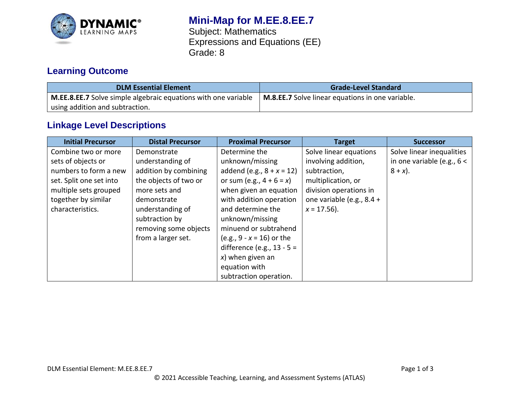

# **Mini-Map for M.EE.8.EE.7**

Subject: Mathematics Expressions and Equations (EE) Grade: 8

## **Learning Outcome**

| <b>DLM Essential Element</b>                                          | <b>Grade-Level Standard</b>                      |
|-----------------------------------------------------------------------|--------------------------------------------------|
| <b>M.EE.8.EE.7</b> Solve simple algebraic equations with one variable | M.8.EE.7 Solve linear equations in one variable. |
| I using addition and subtraction.                                     |                                                  |

## **Linkage Level Descriptions**

| <b>Initial Precursor</b> | <b>Distal Precursor</b> | <b>Proximal Precursor</b>    | <b>Target</b>             | <b>Successor</b>             |
|--------------------------|-------------------------|------------------------------|---------------------------|------------------------------|
| Combine two or more      | Demonstrate             | Determine the                | Solve linear equations    | Solve linear inequalities    |
| sets of objects or       | understanding of        | unknown/missing              | involving addition,       | in one variable (e.g., $6 <$ |
| numbers to form a new    | addition by combining   | addend (e.g., $8 + x = 12$ ) | subtraction,              | $8 + x$ ).                   |
| set. Split one set into  | the objects of two or   | or sum (e.g., $4 + 6 = x$ )  | multiplication, or        |                              |
| multiple sets grouped    | more sets and           | when given an equation       | division operations in    |                              |
| together by similar      | demonstrate             | with addition operation      | one variable (e.g., 8.4 + |                              |
| characteristics.         | understanding of        | and determine the            | $x = 17.56$ ).            |                              |
|                          | subtraction by          | unknown/missing              |                           |                              |
|                          | removing some objects   | minuend or subtrahend        |                           |                              |
|                          | from a larger set.      | (e.g., $9 - x = 16$ ) or the |                           |                              |
|                          |                         | difference (e.g., $13 - 5 =$ |                           |                              |
|                          |                         | $x$ ) when given an          |                           |                              |
|                          |                         | equation with                |                           |                              |
|                          |                         | subtraction operation.       |                           |                              |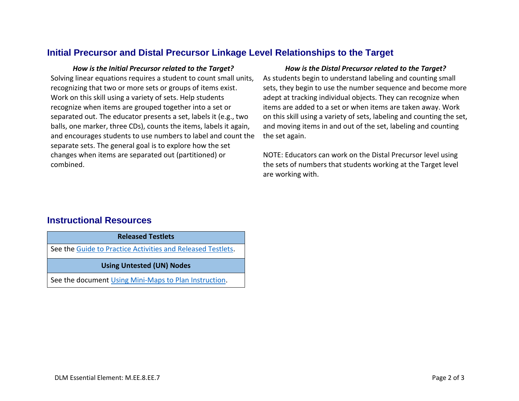### **Initial Precursor and Distal Precursor Linkage Level Relationships to the Target**

Solving linear equations requires a student to count small units, recognizing that two or more sets or groups of items exist. Work on this skill using a variety of sets. Help students recognize when items are grouped together into a set or separated out. The educator presents a set, labels it (e.g., two balls, one marker, three CDs), counts the items, labels it again, and encourages students to use numbers to label and count the separate sets. The general goal is to explore how the set changes when items are separated out (partitioned) or combined.

#### *How is the Initial Precursor related to the Target? How is the Distal Precursor related to the Target?*

As students begin to understand labeling and counting small sets, they begin to use the number sequence and become more adept at tracking individual objects. They can recognize when items are added to a set or when items are taken away. Work on this skill using a variety of sets, labeling and counting the set, and moving items in and out of the set, labeling and counting the set again.

NOTE: Educators can work on the Distal Precursor level using the sets of numbers that students working at the Target level are working with.

### **Instructional Resources**

**Released Testlets**

See the [Guide to Practice Activities and Released Testlets.](https://dynamiclearningmaps.org/sites/default/files/documents/Manuals_Blueprints/Guide_to_Practice_Activities_and_Released_Testlets.pdf)

**Using Untested (UN) Nodes**

See the document [Using Mini-Maps to Plan Instruction.](https://dynamiclearningmaps.org/sites/default/files/documents/Using_Mini_Maps_to_Plan_Instruction.pdf)